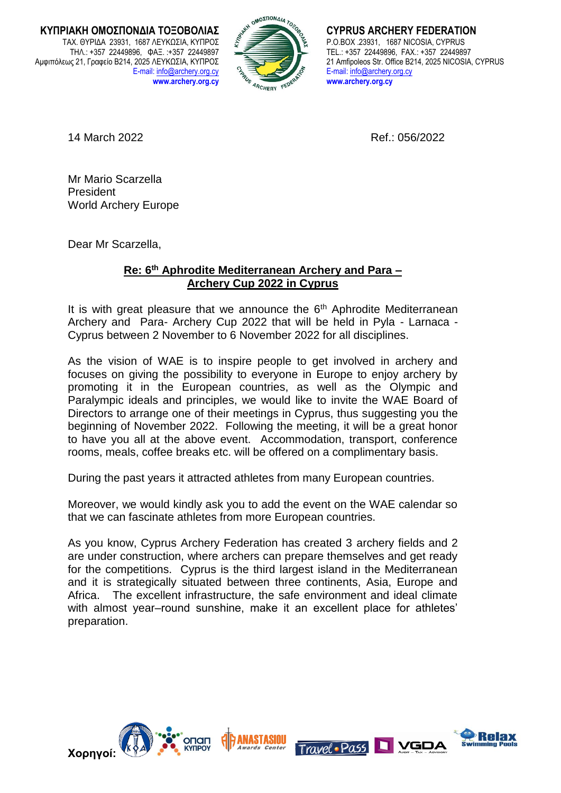**ΚΥΠΡΙΑΚΗ ΟΜΟΣΠΟΝΔΙΑ ΤΟΞΟΒΟΛΙΑΣ** ΤΑΧ. ΘΥΡΙΔΑ 23931, 1687 ΛΕΥΚΩΣΙΑ, ΚΥΠΡΟΣ ΤΗΛ.: +357 22449896, ΦΑΞ. :+357 22449897 Αμφιπόλεως 21, Γραφείο Β214, 2025 ΛΕΥΚΩΣΙΑ, ΚΥΠΡΟΣ E-mail: [info@archery.org.cy](mailto:info@archery.org.cy) **www.archery.org.cy** 



**CYPRUS ARCHERY FEDERATION** P.O.BOX .23931, 1687 NICOSIA, CYPRUS TEL.: +357 22449896, FAX.: +357 22449897 21 Amfipoleos Str. Office B214, 2025 NICOSIA, CYPRUS E-mail: [info@archery.org.cy](mailto:info@archery.org.cy) **www.archery.org.cy**

14 March 2022 Ref.: 056/2022

Mr Mario Scarzella President World Archery Europe

Dear Mr Scarzella,

## **Re: 6th Aphrodite Mediterranean Archery and Para – Archery Cup 2022 in Cyprus**

It is with great pleasure that we announce the  $6<sup>th</sup>$  Aphrodite Mediterranean Archery and Para- Archery Cup 2022 that will be held in Pyla - Larnaca - Cyprus between 2 November to 6 November 2022 for all disciplines.

As the vision of WAE is to inspire people to get involved in archery and focuses on giving the possibility to everyone in Europe to enjoy archery by promoting it in the European countries, as well as the Olympic and Paralympic ideals and principles, we would like to invite the WAE Board of Directors to arrange one of their meetings in Cyprus, thus suggesting you the beginning of November 2022. Following the meeting, it will be a great honor to have you all at the above event. Accommodation, transport, conference rooms, meals, coffee breaks etc. will be offered on a complimentary basis.

During the past years it attracted athletes from many European countries.

Moreover, we would kindly ask you to add the event on the WAE calendar so that we can fascinate athletes from more European countries.

As you know, Cyprus Archery Federation has created 3 archery fields and 2 are under construction, where archers can prepare themselves and get ready for the competitions. Cyprus is the third largest island in the Mediterranean and it is strategically situated between three continents, Asia, Europe and Africa. The excellent infrastructure, the safe environment and ideal climate with almost year–round sunshine, make it an excellent place for athletes' preparation.